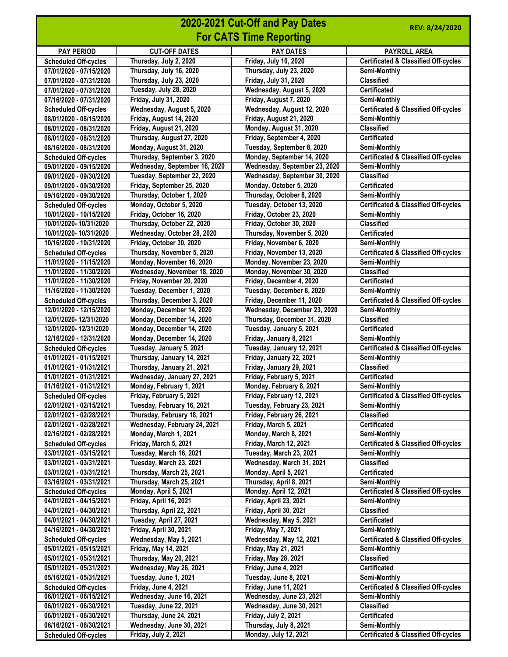|                                                        |                                                           | 2020-2021 Cut-Off and Pay Dates                       | REV: 8/24/2020                                                  |
|--------------------------------------------------------|-----------------------------------------------------------|-------------------------------------------------------|-----------------------------------------------------------------|
|                                                        |                                                           | <b>For CATS Time Reporting</b>                        |                                                                 |
| <b>PAY PERIOD</b>                                      | <b>CUT-OFF DATES</b>                                      | <b>PAY DATES</b>                                      | <b>PAYROLL AREA</b>                                             |
| <b>Scheduled Off-cycles</b>                            | Thursday, July 2, 2020                                    | Friday, July 10, 2020                                 | <b>Certificated &amp; Classified Off-cycles</b>                 |
| 07/01/2020 - 07/15/2020                                | Thursday, July 16, 2020                                   | Thursday, July 23, 2020                               | Semi-Monthly                                                    |
| 07/01/2020 - 07/31/2020                                | Thursday, July 23, 2020                                   | Friday, July 31, 2020                                 | <b>Classified</b>                                               |
| 07/01/2020 - 07/31/2020                                | Tuesday, July 28, 2020                                    | Wednesday, August 5, 2020                             | <b>Certificated</b>                                             |
| 07/16/2020 - 07/31/2020                                | Friday, July 31, 2020                                     | Friday, August 7, 2020                                | <b>Semi-Monthly</b>                                             |
| <b>Scheduled Off-cycles</b>                            | Wednesday, August 5, 2020                                 | Wednesday, August 12, 2020                            | <b>Certificated &amp; Classified Off-cycles</b>                 |
| 08/01/2020 - 08/15/2020                                | Friday, August 14, 2020<br>Friday, August 21, 2020        | Friday, August 21, 2020                               | Semi-Monthly<br><b>Classified</b>                               |
| 08/01/2020 - 08/31/2020<br>08/01/2020 - 08/31/2020     | Thursday, August 27, 2020                                 | Monday, August 31, 2020<br>Friday, September 4, 2020  | <b>Certificated</b>                                             |
| 08/16/2020 - 08/31/2020                                | Monday, August 31, 2020                                   | Tuesday, September 8, 2020                            | Semi-Monthly                                                    |
| <b>Scheduled Off-cycles</b>                            | Thursday, September 3, 2020                               | Monday, September 14, 2020                            | <b>Certificated &amp; Classified Off-cycles</b>                 |
| 09/01/2020 - 09/15/2020                                | Wednesday, September 16, 2020                             | Wednesday, September 23, 2020                         | Semi-Monthly                                                    |
| 09/01/2020 - 09/30/2020                                | Tuesday, September 22, 2020                               | Wednesday, September 30, 2020                         | <b>Classified</b>                                               |
| 09/01/2020 - 09/30/2020                                | Friday, September 25, 2020                                | Monday, October 5, 2020                               | <b>Certificated</b>                                             |
| 09/16/2020 - 09/30/2020                                | Thursday, October 1, 2020                                 | Thursday, October 8, 2020                             | Semi-Monthly                                                    |
| <b>Scheduled Off-cycles</b>                            | Monday, October 5, 2020                                   | Tuesday, October 13, 2020                             | <b>Certificated &amp; Classified Off-cycles</b>                 |
| 10/01/2020 - 10/15/2020                                | Friday, October 16, 2020                                  | Friday, October 23, 2020                              | Semi-Monthly                                                    |
| 10/01/2020-10/31/2020                                  | Thursday, October 22, 2020                                | Friday, October 30, 2020                              | <b>Classified</b>                                               |
| 10/01/2020-10/31/2020                                  | Wednesday, October 28, 2020                               | Thursday, November 5, 2020                            | <b>Certificated</b>                                             |
| 10/16/2020 - 10/31/2020                                | Friday, October 30, 2020                                  | Friday, November 6, 2020                              | <b>Semi-Monthly</b>                                             |
| <b>Scheduled Off-cycles</b>                            | Thursday, November 5, 2020                                | Friday, November 13, 2020                             | <b>Certificated &amp; Classified Off-cycles</b>                 |
| 11/01/2020 - 11/15/2020                                | Monday, November 16, 2020                                 | Monday, November 23, 2020                             | Semi-Monthly<br><b>Classified</b>                               |
| 11/01/2020 - 11/30/2020<br>11/01/2020 - 11/30/2020     | Wednesday, November 18, 2020<br>Friday, November 20, 2020 | Monday, November 30, 2020<br>Friday, December 4, 2020 | <b>Certificated</b>                                             |
| 11/16/2020 - 11/30/2020                                | Tuesday, December 1, 2020                                 | Tuesday, December 8, 2020                             | Semi-Monthly                                                    |
| <b>Scheduled Off-cycles</b>                            | Thursday, December 3, 2020                                | Friday, December 11, 2020                             | <b>Certificated &amp; Classified Off-cycles</b>                 |
| 12/01/2020 - 12/15/2020                                | Monday, December 14, 2020                                 | Wednesday, December 23, 2020                          | Semi-Monthly                                                    |
| 12/01/2020-12/31/2020                                  | Monday, December 14, 2020                                 | Thursday, December 31, 2020                           | <b>Classified</b>                                               |
| 12/01/2020-12/31/2020                                  | Monday, December 14, 2020                                 | Tuesday, January 5, 2021                              | <b>Certificated</b>                                             |
| 12/16/2020 - 12/31/2020                                | Monday, December 14, 2020                                 | Friday, January 8, 2021                               | <b>Semi-Monthly</b>                                             |
| <b>Scheduled Off-cycles</b>                            | Tuesday, January 5, 2021                                  | Tuesday, January 12, 2021                             | <b>Certificated &amp; Classified Off-cycles</b>                 |
| 01/01/2021 - 01/15/2021                                | Thursday, January 14, 2021                                | Friday, January 22, 2021                              | Semi-Monthly                                                    |
| 01/01/2021 - 01/31/2021                                | Thursday, January 21, 2021                                | Friday, January 29, 2021                              | <b>Classified</b>                                               |
| 01/01/2021 - 01/31/2021                                | Wednesday, January 27, 2021                               | Friday, February 5, 2021                              | <b>Certificated</b>                                             |
| 01/16/2021 - 01/31/2021                                | Monday, February 1, 2021                                  | Monday, February 8, 2021                              | Semi-Monthly                                                    |
| <b>Scheduled Off-cycles</b>                            | Friday, February 5, 2021                                  | Friday, February 12, 2021                             | <b>Certificated &amp; Classified Off-cycles</b>                 |
| 02/01/2021 - 02/15/2021                                | Tuesday, February 16, 2021                                | Tuesday, February 23, 2021                            | Semi-Monthly                                                    |
| 02/01/2021 - 02/28/2021                                | Thursday, February 18, 2021                               | Friday, February 26, 2021                             | <b>Classified</b>                                               |
| 02/01/2021 - 02/28/2021                                | Wednesday, February 24, 2021                              | Friday, March 5, 2021                                 | <b>Certificated</b>                                             |
| 02/16/2021 - 02/28/2021                                | Monday, March 1, 2021<br>Friday, March 5, 2021            | Monday, March 8, 2021<br>Friday, March 12, 2021       | Semi-Monthly<br><b>Certificated &amp; Classified Off-cycles</b> |
| <b>Scheduled Off-cycles</b><br>03/01/2021 - 03/15/2021 | Tuesday, March 16, 2021                                   | Tuesday, March 23, 2021                               | Semi-Monthly                                                    |
| 03/01/2021 - 03/31/2021                                | Tuesday, March 23, 2021                                   | Wednesday, March 31, 2021                             | <b>Classified</b>                                               |
| 03/01/2021 - 03/31/2021                                | Thursday, March 25, 2021                                  | Monday, April 5, 2021                                 | <b>Certificated</b>                                             |
| 03/16/2021 - 03/31/2021                                | Thursday, March 25, 2021                                  | Thursday, April 8, 2021                               | Semi-Monthly                                                    |
| <b>Scheduled Off-cycles</b>                            | Monday, April 5, 2021                                     | Monday, April 12, 2021                                | <b>Certificated &amp; Classified Off-cycles</b>                 |
| 04/01/2021 - 04/15/2021                                | Friday, April 16, 2021                                    | Friday, April 23, 2021                                | Semi-Monthly                                                    |
| 04/01/2021 - 04/30/2021                                | Thursday, April 22, 2021                                  | Friday, April 30, 2021                                | <b>Classified</b>                                               |
| 04/01/2021 - 04/30/2021                                | Tuesday, April 27, 2021                                   | Wednesday, May 5, 2021                                | <b>Certificated</b>                                             |
| 04/16/2021 - 04/30/2021                                | Friday, April 30, 2021                                    | Friday, May 7, 2021                                   | Semi-Monthly                                                    |
| <b>Scheduled Off-cycles</b>                            | Wednesday, May 5, 2021                                    | Wednesday, May 12, 2021                               | <b>Certificated &amp; Classified Off-cycles</b>                 |
| 05/01/2021 - 05/15/2021                                | Friday, May 14, 2021                                      | <b>Friday, May 21, 2021</b>                           | Semi-Monthly                                                    |
| 05/01/2021 - 05/31/2021                                | Thursday, May 20, 2021                                    | <b>Friday, May 28, 2021</b>                           | <b>Classified</b>                                               |
| 05/01/2021 - 05/31/2021<br>05/16/2021 - 05/31/2021     | Wednesday, May 26, 2021                                   | Friday, June 4, 2021                                  | <b>Certificated</b><br>Semi-Monthly                             |
|                                                        | Tuesday, June 1, 2021<br>Friday, June 4, 2021             | Tuesday, June 8, 2021<br><b>Friday, June 11, 2021</b> | <b>Certificated &amp; Classified Off-cycles</b>                 |
| <b>Scheduled Off-cycles</b><br>06/01/2021 - 06/15/2021 | Wednesday, June 16, 2021                                  | Wednesday, June 23, 2021                              | Semi-Monthly                                                    |
| 06/01/2021 - 06/30/2021                                | Tuesday, June 22, 2021                                    | Wednesday, June 30, 2021                              | <b>Classified</b>                                               |
| 06/01/2021 - 06/30/2021                                | Thursday, June 24, 2021                                   | Friday, July 2, 2021                                  | <b>Certificated</b>                                             |
| 06/16/2021 - 06/30/2021                                | Wednesday, June 30, 2021                                  | Thursday, July 8, 2021                                | Semi-Monthly                                                    |
| <b>Scheduled Off-cycles</b>                            | Friday, July 2, 2021                                      | Monday, July 12, 2021                                 | <b>Certificated &amp; Classified Off-cycles</b>                 |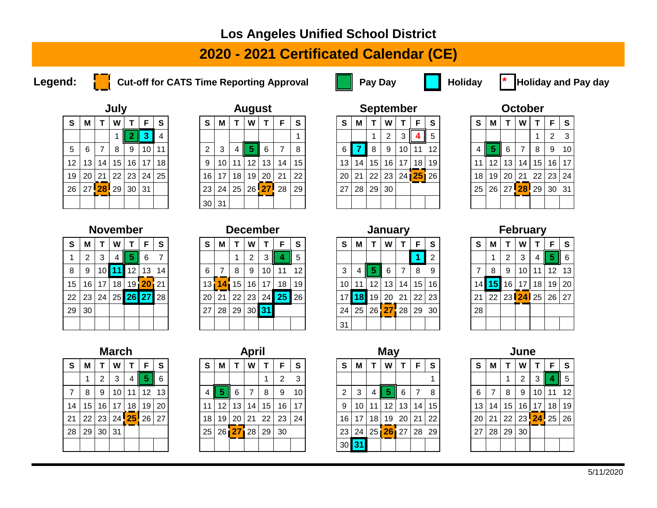### **Los Angeles Unified School District**

# **2020 - 2021 Certificated Calendar (CE)**

**Legend:** Cut-off for CATS Time Reporting Approval **Pay Day** Pay Day **Pay Holiday \*** Holiday and Pay day



|                                            |                                                    |          | July |    |    |    |  |  |  |  |  |  |  |  |  |
|--------------------------------------------|----------------------------------------------------|----------|------|----|----|----|--|--|--|--|--|--|--|--|--|
| $\mathbf{s}$<br>S<br>F<br>W<br>м<br>т<br>4 |                                                    |          |      |    |    |    |  |  |  |  |  |  |  |  |  |
|                                            | 3<br>$\overline{2}$<br>5<br>10<br>6<br>8<br>9<br>7 |          |      |    |    |    |  |  |  |  |  |  |  |  |  |
|                                            |                                                    |          |      |    |    | 11 |  |  |  |  |  |  |  |  |  |
| 12                                         | 13                                                 | 14       | 15   | 16 | 17 | 18 |  |  |  |  |  |  |  |  |  |
| 19                                         | 20                                                 | 21       | 22   | 23 | 24 | 25 |  |  |  |  |  |  |  |  |  |
| 26                                         |                                                    | 27 28 29 |      | 30 | 31 |    |  |  |  |  |  |  |  |  |  |
|                                            |                                                    |          |      |    |    |    |  |  |  |  |  |  |  |  |  |

|                 |                 |                  | July |                 |    |      |          |                 |                 |    | <b>August</b>   |     |          |                 |    |    | <b>September</b> |                 |       |          |                 |    |                 | <b>October</b>      |                 |       |             |
|-----------------|-----------------|------------------|------|-----------------|----|------|----------|-----------------|-----------------|----|-----------------|-----|----------|-----------------|----|----|------------------|-----------------|-------|----------|-----------------|----|-----------------|---------------------|-----------------|-------|-------------|
| S.              | М               |                  | W    |                 | F  | S    | <b>S</b> | M               |                 | W  |                 | F   | <b>S</b> | S.              | M  |    | W                |                 | F.    | <b>S</b> | S.              | M  |                 | W                   |                 |       | $F \mid S$  |
|                 |                 |                  |      |                 |    |      |          |                 |                 |    |                 |     |          |                 |    |    | ົ                |                 |       | 5        |                 |    |                 |                     |                 |       | $2 \quad 3$ |
| 5 <sup>5</sup>  | -6              |                  | 8    | 9               | 10 | 11   | 2        | 3               | 4               | 5  | 6               |     | 8        | 6               |    | 8  | -9               | 10              | 11    | 12       | 4 II            | 5  | 6               |                     | 8               | 9     | 10          |
| 12 <sup>°</sup> | 13              | 14               | 15   | 16              | 17 | 18   | 9        | 10 <sup>1</sup> | 11              | 12 | 13              | 14  | 15       | 13 <sub>1</sub> | 14 | 15 | 16               | 17 <sup>1</sup> | 18    | 19       | 11              | 12 | 13              | 14 <sub>1</sub>     | 15 <sup>1</sup> | 16 17 |             |
| 19              | 20 <sub>1</sub> | 21               | 22   | 23 <sub>1</sub> | 24 | 25 I | 16       | 17 <sup>1</sup> | 18 <sup>1</sup> | 19 | 20 <sub>1</sub> | 21  | 22       | 20 <sup>1</sup> | 21 | 22 | 23               |                 | 24 25 | 26       | 18              | 19 | 20 <sub>1</sub> | -21                 | 22 23 24        |       |             |
| 26              |                 | 27 <sup>28</sup> | 29   | 30              | 31 |      | 23       | 24 <sup>1</sup> | 25 <sub>1</sub> |    | $26$ 27         | -28 | 29       | 27              | 28 | 29 | 30               |                 |       |          | 25 <sub>1</sub> | 26 |                 | 27 <sup>28</sup> 29 |                 | 30 31 |             |
|                 |                 |                  |      |                 |    |      | 30       | $\vert$ 31      |                 |    |                 |     |          |                 |    |    |                  |                 |       |          |                 |    |                 |                     |                 |       |             |

|                                 |    |                  |                | <b>September</b> |          |    |  |  |  |  |  |  |  |  |
|---------------------------------|----|------------------|----------------|------------------|----------|----|--|--|--|--|--|--|--|--|
| S<br>S<br>W<br>F<br>м<br>т<br>т |    |                  |                |                  |          |    |  |  |  |  |  |  |  |  |
|                                 |    | 1                | $\overline{2}$ | 3                | 4        | 5  |  |  |  |  |  |  |  |  |
| 6                               | 7  | 8                | 9              | 10               | 11       | 12 |  |  |  |  |  |  |  |  |
| 13                              | 14 | 15 <sub>15</sub> | 16             | 17               | 18       | 19 |  |  |  |  |  |  |  |  |
| 20                              | 21 | 22 <sub>1</sub>  | 23             |                  | 24 25 26 |    |  |  |  |  |  |  |  |  |
| 27                              | 28 | 29               | 30             |                  |          |    |  |  |  |  |  |  |  |  |
|                                 |    |                  |                |                  |          |    |  |  |  |  |  |  |  |  |

|              |    |    | October  |               |    |    |
|--------------|----|----|----------|---------------|----|----|
| $\mathbf{s}$ | М  | т  | w        | т             | F  | S  |
|              |    |    |          | 1             | 2  | 3  |
| 4            | 5  | 6  | 7        | 8             | 9  | 10 |
| 11           | 12 | 13 | 14       | 15            | 16 | 17 |
| 18           | 19 | 20 |          | $21 \quad 22$ | 23 | 24 |
| 25           | 26 |    | 27 28 29 |               | 30 | 31 |
|              |    |    |          |               |    |    |

|    |    |    | november |          |          |    |
|----|----|----|----------|----------|----------|----|
| S  | М  | т  | W        | т        | F        | S  |
| 1  | 2  | 3  | 4        | 5        | 6        | 7  |
| 8  | 9  | 10 | 11       | 12       | 13       | 14 |
| 15 | 16 | 17 | 18       |          | 19 20 21 |    |
| 22 | 23 | 24 |          | 25 26 27 |          | 28 |
| 29 | 30 |    |          |          |          |    |
|    |    |    |          |          |          |    |

| lovember |
|----------|
|----------|

|    |                 |     |      | <b>November</b> |                 |    |                 |                 | <b>December</b> |                 |    |                     |                 |    |      | January         |                 |      |    |                 |      |                 | <b>February</b> |    |      |                       |      |
|----|-----------------|-----|------|-----------------|-----------------|----|-----------------|-----------------|-----------------|-----------------|----|---------------------|-----------------|----|------|-----------------|-----------------|------|----|-----------------|------|-----------------|-----------------|----|------|-----------------------|------|
| S. | M               |     | W    |                 | F               | S  | -S              | M               |                 | W               |    | E                   | <b>S</b>        | S. | M    |                 | W               |      | E  | S               | S.   | M               |                 | W  |      | F.                    | - S  |
|    |                 | 3   | 4    |                 | -6              |    |                 |                 |                 | 2               |    |                     | 5               |    |      |                 |                 |      |    | 2               |      |                 | 2               |    |      |                       | II 6 |
| 8  | -9              | 101 | l 11 | l 12            | 13              | 14 | 6               |                 | 8               | 9               | 10 | 11                  | 12              | 3  | 4 II |                 | 6               |      | 8  | 9               |      | 8               | 9               | 10 |      | 12 13                 |      |
| 15 | 16 l            | 17  | 18   |                 | 19 <b>20</b> 21 |    | 13 <sub>1</sub> | 141             | 15              | 16 <sup>1</sup> | 17 | 18                  | 19 <sup>1</sup> | 10 | 11   | 12 <sup>1</sup> | 13 <sub>1</sub> | 14 I | 15 | 16              | 14 I | 15 <sub>l</sub> | 16              | 17 | 18 I | 19 20                 |      |
| 22 | 23              | 24  |      |                 | $25$ 26 27 28   |    | 20              | 121'            | 22              | 23              |    | 24 <sup>25</sup> 26 |                 |    | 18I  | 19              | 20              | 21   | 22 | 23              | 21   | 22              |                 |    |      | 23 <b>24</b> 25 26 27 |      |
| 29 | 30 <sub>1</sub> |     |      |                 |                 |    | 27              | 28 <sup>1</sup> | 29 30 31        |                 |    |                     |                 | 24 | 25   | $26$ 27         |                 | 28   | 29 | 30 <sub>l</sub> | 28   |                 |                 |    |      |                       |      |
|    |                 |     |      |                 |                 |    |                 |                 |                 |                 |    |                     |                 | 31 |      |                 |                 |      |    |                 |      |                 |                 |    |      |                       |      |

|    |    | <b>November</b> |                 |                 |  |    |     | <b>December</b> |         |                  |                 |    |                 |    |    | <b>January</b> |                   |                 |    |      |    |    |                 | <b>February</b> |  |
|----|----|-----------------|-----------------|-----------------|--|----|-----|-----------------|---------|------------------|-----------------|----|-----------------|----|----|----------------|-------------------|-----------------|----|------|----|----|-----------------|-----------------|--|
|    | W  |                 | Е               | <b>S</b>        |  | S  | M   |                 | W       |                  | F               | S  | <b>S</b>        | М  |    | W              |                   | Е               | S  | -S   | м  |    | W               |                 |  |
| 3  |    |                 | 6               |                 |  |    |     |                 | ົ       |                  |                 | 5  |                 |    |    |                |                   |                 | 2  |      |    | ◠  | 3               | 4               |  |
| 10 |    | '2              | 13              | 14 <sub>1</sub> |  | 6  |     | 8               | 9       | 10               | 11              | 12 | 3               |    |    | 6              |                   | 8               | -9 |      | 8  | 9  | 10              | 11              |  |
| 17 | 18 |                 | 19 <b>20</b> 21 |                 |  | 13 | 141 | 15              | 16      | 17 <sup>17</sup> | 18 <sub>1</sub> | 19 | 10 <sub>1</sub> |    | 12 | 13             | 14                | 15              | 16 | 14 I | 15 | 16 | 17              | 18              |  |
| 24 |    |                 |                 | 25 26 27 28     |  | 20 | 21  | 22              | 23      | 24               | 25              | 26 |                 | 18 | 19 | 20             | 21                | 22 <sub>1</sub> | 23 | 21   | 22 |    | 23 <b>24</b> 25 |                 |  |
|    |    |                 |                 |                 |  | 27 | 28  | 29              | $30$ 31 |                  |                 |    | 24 <sup>1</sup> | 25 |    | $26$ 27        | $\blacksquare$ 28 | 29              | 30 | 28   |    |    |                 |                 |  |
|    |    |                 |                 |                 |  |    |     |                 |         |                  |                 |    | 31              |    |    |                |                   |                 |    |      |    |    |                 |                 |  |

|                |                            |                | February    |    |    |    |  |  |  |  |  |  |  |  |
|----------------|----------------------------|----------------|-------------|----|----|----|--|--|--|--|--|--|--|--|
| S              | S<br>F<br>т<br>W<br>т<br>М |                |             |    |    |    |  |  |  |  |  |  |  |  |
|                | 1                          | $\overline{2}$ | 3           | 4  | 5  | 6  |  |  |  |  |  |  |  |  |
| $\overline{7}$ | 8                          | 9              | 10          | 11 | 12 | 13 |  |  |  |  |  |  |  |  |
| 14             | 15                         | 16             | 17          | 18 | 19 | 20 |  |  |  |  |  |  |  |  |
| 21             |                            |                | 22 23 24 25 |    | 26 | 27 |  |  |  |  |  |  |  |  |
| 28             |                            |                |             |    |    |    |  |  |  |  |  |  |  |  |
|                |                            |                |             |    |    |    |  |  |  |  |  |  |  |  |

|    |    |                | March |                 |    |    |
|----|----|----------------|-------|-----------------|----|----|
| S  | М  | т              | W     | т               | F  | S  |
|    | 1  | $\overline{2}$ | 3     | 4               | 5  | 6  |
| 7  | 8  | 9              | 10    | 11              | 12 | 13 |
| 14 | 15 | 16             | 17    | 18              | 19 | 20 |
| 21 | 22 | 23             |       | 24 <b>25</b> 26 |    | 27 |
| 28 | 29 | 30             | 31    |                 |    |    |
|    |    |                |       |                 |    |    |

|                | <b>March</b> |    |                                |          |    |                   |    | <b>April</b>    |    |    |                 |         |    |    | May               |                 |                 |    |    |    |                | June |  |
|----------------|--------------|----|--------------------------------|----------|----|-------------------|----|-----------------|----|----|-----------------|---------|----|----|-------------------|-----------------|-----------------|----|----|----|----------------|------|--|
| Τ              | W            |    | F                              | <b>S</b> | S  | м                 |    | W               |    | F  | S               | S.      | M  |    | W                 |                 | F               | S  | S  | M  |                | W    |  |
| $\overline{2}$ | 3            |    | Ш                              | 6        |    |                   |    |                 |    | 2  | 3               |         |    |    |                   |                 |                 |    |    |    | $\overline{A}$ | 2    |  |
| 9              | 10           | 11 | 12                             | 13       | 4  | -5<br>H           | 6  |                 | 8  | 9  | 10              | 2       | 3  | 4  | -5                | 6               | 7               | 8  | 6  |    | 8              | 9    |  |
| 16             | 17           | 18 | 19                             | 20       | 11 | $12 \overline{ }$ | 13 | 14 <sub>1</sub> | 15 | 16 | 17 <sub>1</sub> | 9       | 10 | 11 | $12 \overline{ }$ | 13 <sub>1</sub> | 14 <sup>1</sup> | 15 | 13 | 14 | 15             | 16   |  |
|                |              |    | 23   24 <mark>  25  </mark> 26 | 27       | 18 | 19                | 20 | 21              | 22 | 23 | 24              | 16      | 17 | 18 | 19                | 20              | 21              | 22 | 20 | 21 | 22             | 23   |  |
|                | 30   31      |    |                                |          | 25 | 261               |    | 27128           | 29 | 30 |                 | 23      | 24 | 25 | 26 27             |                 | 28              | 29 | 27 | 28 | 29             | 30   |  |
|                |              |    |                                |          |    |                   |    |                 |    |    |                 | $30$ 31 |    |    |                   |                 |                 |    |    |    |                |      |  |

|                |    |    | May |    |   |
|----------------|----|----|-----|----|---|
| S              | М  | т  | W   | т  | ı |
|                |    |    |     |    |   |
| $\overline{2}$ | 3  | 4  | 5   | 6  |   |
| 9              | 10 | 11 | 12  | 13 | 1 |
| 16             | 17 | 18 | 19  | 20 | 2 |
|                |    |    |     |    |   |

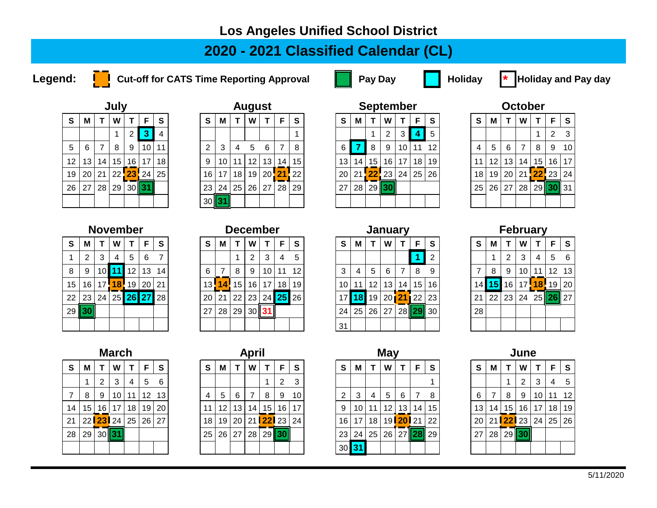### **Los Angeles Unified School District**

## **2020 - 2021 Classified Calendar (CL)**

**Legend:** Cut-off for CATS Time Reporting Approval **Pay Day** Pay Day **Pay Holiday \*** Holiday and Pay day



|                                 |    |    | July |                 |    |    |  |  |  |  |  |  |  |  |
|---------------------------------|----|----|------|-----------------|----|----|--|--|--|--|--|--|--|--|
| S<br>S<br>М<br>F<br>W<br>т<br>т |    |    |      |                 |    |    |  |  |  |  |  |  |  |  |
|                                 |    |    | 1    | $\overline{2}$  | 3  | 4  |  |  |  |  |  |  |  |  |
| 5                               | 6  | 7  | 8    | 9               | 10 | 11 |  |  |  |  |  |  |  |  |
| 12                              | 13 | 14 | 15   | 16              | 17 | 18 |  |  |  |  |  |  |  |  |
| 19                              | 20 | 21 |      | 22 23 24        |    | 25 |  |  |  |  |  |  |  |  |
| 26                              | 27 | 28 | 29   | 30 <sup>1</sup> | 31 |    |  |  |  |  |  |  |  |  |
|                                 |    |    |      |                 |    |    |  |  |  |  |  |  |  |  |

|                 |                |    | July |                 |          |                 |                |                 |    | <b>August</b>     |                 |                 |                   |          |    |         | <b>September</b>   |                 |                 |                 |                 |     |    | <b>October</b>                      |                 |            |             |
|-----------------|----------------|----|------|-----------------|----------|-----------------|----------------|-----------------|----|-------------------|-----------------|-----------------|-------------------|----------|----|---------|--------------------|-----------------|-----------------|-----------------|-----------------|-----|----|-------------------------------------|-----------------|------------|-------------|
| S.              | м              |    | W    |                 | F        | S               | <b>S</b>       | м               |    | W                 |                 | F               | <b>S</b>          | <b>S</b> | М  |         | W                  |                 | E               | S.              | <b>S</b>        | м   |    | W                                   |                 | F.         | - S         |
|                 |                |    |      | 2               |          |                 |                |                 |    |                   |                 |                 |                   |          |    |         | 2                  |                 |                 | 5               |                 |     |    |                                     |                 |            | $2 \quad 3$ |
| 5 <sub>5</sub>  | 6              | 7  | 8    | 9               | 10       | 11              | 2              | 3               | 4  | 5                 | 6               |                 | 8                 | 6        |    | -8      | 9                  | 10 <sub>1</sub> | 11              | 12 <sup>1</sup> | 4               | 5   | 6  |                                     | 8               | 9          | 10          |
| 12 <sup>1</sup> | 13             | 14 | 15   | 16 <sup>1</sup> | 17       | 18 <sup>1</sup> | 9              | 10 <sup>1</sup> | 11 | $12 \overline{ }$ | 13 <sub>1</sub> | 14              | 15                | 13       | 14 | 15      | 16 l               | 17              | 18 <sup>1</sup> | 19 I            | 11              | 12  | 13 | 14 <sub>1</sub>                     | 15 <sup>1</sup> | 16         | 17          |
| 19              | 20   21        |    |      |                 | 22 23 24 | 25              | 16 l           | 17              | 18 | 19                | $20$ 21         |                 | $\blacksquare$ 22 |          |    |         | 20 21 <b>22</b> 23 | 24 <sup>1</sup> | 25 <sub>1</sub> | <b>26</b>       | 18 <sup>1</sup> | 19  |    | 20   21 <mark>  22  </mark> 23   24 |                 |            |             |
| 26              | $\frac{1}{27}$ | 28 | 29   | 30 31           |          |                 | 23             | 24              | 25 | 26                | 27              | 28 <sup>1</sup> | 29                | 27       | 28 | $29$ 30 |                    |                 |                 |                 | 25              | 26' | 27 | 28                                  |                 | $29$ 30 31 |             |
|                 |                |    |      |                 |          |                 | $30$ $\vert$ 3 |                 |    |                   |                 |                 |                   |          |    |         |                    |                 |                 |                 |                 |     |    |                                     |                 |            |             |

|                                            |    |          | September      |    |    |                 |  |  |  |  |  |  |  |  |
|--------------------------------------------|----|----------|----------------|----|----|-----------------|--|--|--|--|--|--|--|--|
| $\mathbf{s}$<br>S<br>W<br>F<br>М<br>т<br>т |    |          |                |    |    |                 |  |  |  |  |  |  |  |  |
|                                            |    |          | $\overline{2}$ | 3  | 4  | 5               |  |  |  |  |  |  |  |  |
| 6                                          | 7  | 8        | 9              | 10 | 11 | 12 <sup>1</sup> |  |  |  |  |  |  |  |  |
| 13                                         | 14 | 15       | 16             | 17 | 18 | 19              |  |  |  |  |  |  |  |  |
| 20                                         |    | 21 22 23 |                | 24 | 25 | 26              |  |  |  |  |  |  |  |  |
| 27                                         | 28 |          | 29 30          |    |    |                 |  |  |  |  |  |  |  |  |
|                                            |    |          |                |    |    |                 |  |  |  |  |  |  |  |  |

|    |                            |    | October |              |    |    |  |  |  |  |  |  |  |  |  |
|----|----------------------------|----|---------|--------------|----|----|--|--|--|--|--|--|--|--|--|
| S  | W<br>F<br>S<br>т<br>М<br>т |    |         |              |    |    |  |  |  |  |  |  |  |  |  |
|    |                            |    |         | 1            | 2  | 3  |  |  |  |  |  |  |  |  |  |
| 4  | 5                          | 6  | 7       | 8            | 9  | 10 |  |  |  |  |  |  |  |  |  |
| 11 | 12                         | 13 | 14      | 15           | 16 | 17 |  |  |  |  |  |  |  |  |  |
| 18 | 19                         | 20 | 21      | <b>22</b> 23 |    | 24 |  |  |  |  |  |  |  |  |  |
| 25 | 26                         | 27 | 28      | 29           | 30 | 31 |  |  |  |  |  |  |  |  |  |
|    |                            |    |         |              |    |    |  |  |  |  |  |  |  |  |  |

|                                 |                |    | november       |         |   |    |  |  |  |  |  |  |  |  |
|---------------------------------|----------------|----|----------------|---------|---|----|--|--|--|--|--|--|--|--|
| S<br>S<br>F<br>W<br>м<br>т<br>т |                |    |                |         |   |    |  |  |  |  |  |  |  |  |
| 1                               | $\overline{2}$ | 3  | 4              | 5       | 6 | 7  |  |  |  |  |  |  |  |  |
| 8                               | 9              | 10 | 11             | $12$ 13 |   | 14 |  |  |  |  |  |  |  |  |
| 15                              | 16             |    | 17 18 19 20 21 |         |   |    |  |  |  |  |  |  |  |  |
| 22                              | 23             |    | 24 25 26 27 28 |         |   |    |  |  |  |  |  |  |  |  |
| 29                              | 30             |    |                |         |   |    |  |  |  |  |  |  |  |  |
|                                 |                |    |                |         |   |    |  |  |  |  |  |  |  |  |

|                                            |    |    | December        |    |    |    |  |  |  |  |  |  |  |  |
|--------------------------------------------|----|----|-----------------|----|----|----|--|--|--|--|--|--|--|--|
| $\mathbf{s}$<br>S<br>F<br>W<br>М<br>т<br>т |    |    |                 |    |    |    |  |  |  |  |  |  |  |  |
|                                            |    |    | 2               | 3  | 4  | 5  |  |  |  |  |  |  |  |  |
| 6                                          | 7  | 8  | 9               | 10 | 11 | 12 |  |  |  |  |  |  |  |  |
| 13                                         |    |    | $14$ 15 16 17   |    | 18 | 19 |  |  |  |  |  |  |  |  |
| 20                                         | 21 |    | 22 23 24 25 26  |    |    |    |  |  |  |  |  |  |  |  |
| 27                                         | 28 | 29 | 30 <sup>1</sup> | 31 |    |    |  |  |  |  |  |  |  |  |
|                                            |    |    |                 |    |    |    |  |  |  |  |  |  |  |  |

|                      |                 |                 | <b>November</b> |                 |    |             |                 |     | <b>December</b> |                |    |                 |          |                 |                 | <b>January</b>  |                 |       |                 |                 |          |     |                 |        | <b>February</b> |                 |     |
|----------------------|-----------------|-----------------|-----------------|-----------------|----|-------------|-----------------|-----|-----------------|----------------|----|-----------------|----------|-----------------|-----------------|-----------------|-----------------|-------|-----------------|-----------------|----------|-----|-----------------|--------|-----------------|-----------------|-----|
| S.                   | M               |                 | W               |                 |    | S           | S               | M   |                 | W              |    | F               | <b>S</b> | <b>S</b>        | М               |                 | W               |       |                 | <b>S</b>        | <b>S</b> | М   |                 | W      |                 | F.              | - S |
|                      | ົ               | 3               | 4               | 5               | 6  |             |                 |     |                 | ົ              | 3  |                 | 5        |                 |                 |                 |                 |       |                 | 2               |          |     | 2               | 3      | 4               | 5 6             |     |
| 8                    |                 | 10 <sub>h</sub> | 11              | 12 <sub>1</sub> | 13 | 14          | 6               |     | 8               | 9              | 10 | 11              | 12       | 3               | 4               | 5               | 6               |       |                 | 9               |          | 8   | 9               | 10     |                 | 12 13           |     |
| 15                   | 16 <sup>1</sup> |                 | 17 <b>18</b>    | 19              | 20 | $\sqrt{21}$ | 13!             | 14! | 15              | 16             | 17 | 18 <sup>1</sup> | 19       | 10 <sub>1</sub> | 11              | 12              | 13 <sub>1</sub> | 14 I  | 15 <sup>1</sup> | 16 I            | l 4 l    | 151 | 16 <sub>1</sub> | $17$ 1 | <b>18</b>       | 19 20           |     |
|                      | 22   23         | 24              |                 |                 |    | 25 26 27 28 | 20 <sup>1</sup> | 21  | 22              | 23             |    | $24$ 25         | 26       |                 | 18 <sup>l</sup> | 19              | 20121           |       | 22              | 23 <sub>1</sub> | 21       | 22  | 23              | 24     |                 | 25 <b>26</b> 27 |     |
| 29 <mark>  30</mark> |                 |                 |                 |                 |    |             | 27              | 28  | 29              | $30$ <b>31</b> |    |                 |          | 24              | 25              | 26 <sup>1</sup> | 27              | 28 II | 29              | 30 <sub>l</sub> | 28       |     |                 |        |                 |                 |     |
|                      |                 |                 |                 |                 |    |             |                 |     |                 |                |    |                 |          | 31              |                 |                 |                 |       |                 |                 |          |     |                 |        |                 |                 |     |

|                                 |           | February       |    |                                 |                  |    |  |  |  |  |  |  |  |  |
|---------------------------------|-----------|----------------|----|---------------------------------|------------------|----|--|--|--|--|--|--|--|--|
| S<br>S<br>W<br>F<br>т<br>М<br>т |           |                |    |                                 |                  |    |  |  |  |  |  |  |  |  |
|                                 | 1         | $\overline{2}$ | 3  | 4                               | 5                | 6  |  |  |  |  |  |  |  |  |
| 7                               | 8         | 9              | 10 | 11                              | 12 <sup>12</sup> | 13 |  |  |  |  |  |  |  |  |
| 14                              | <b>15</b> | 16             |    | 17 <sup>18</sup> 19             |                  | 20 |  |  |  |  |  |  |  |  |
| 21                              | 22        | 23             |    | $\overline{24}$ 25 <b>26</b> 27 |                  |    |  |  |  |  |  |  |  |  |
| 28                              |           |                |    |                                 |                  |    |  |  |  |  |  |  |  |  |
|                                 |           |                |    |                                 |                  |    |  |  |  |  |  |  |  |  |

 $7 | 8 | 9 | 10 | 11 | 12 13$  $14 | 15 | 16 | 17 | 18 | 19 | 20$ 21 22 **23** 24 25 26 27 18 19 20 21 **22** 23 24 16 17 18 19 **20** 21 22 20 21 **22** 23 24 25 26 28 29 30 **31** 25 26 27 28 29 **30** 23 24 25 26 27 **28** 29 27 28 29 **30**

|                |       | March<br><b>April</b><br>S<br>S<br>W<br>F<br>M<br>F<br>6<br>$\overline{2}$<br>5<br>4<br>13<br>5<br>12<br>6<br>9<br>11<br>8<br>4<br>16 <sup>1</sup><br>13 <sup>1</sup><br>14 |    |    |  |  |  |    |    |                 |    |                 |  |                 |
|----------------|-------|-----------------------------------------------------------------------------------------------------------------------------------------------------------------------------|----|----|--|--|--|----|----|-----------------|----|-----------------|--|-----------------|
| T.             | W     |                                                                                                                                                                             |    |    |  |  |  |    |    |                 |    |                 |  | <b>S</b>        |
| $\overline{2}$ | 3     |                                                                                                                                                                             |    |    |  |  |  |    |    |                 |    |                 |  | 3               |
| 9              | 10    |                                                                                                                                                                             |    |    |  |  |  |    |    |                 |    |                 |  | 10 <sub>l</sub> |
| 16             | 17    | 18                                                                                                                                                                          | 19 | 20 |  |  |  | 11 | 12 |                 |    | 15              |  | 17 <sup>1</sup> |
|                | 23 24 | 25                                                                                                                                                                          | 26 | 27 |  |  |  | 18 | 19 | 20 <sup>1</sup> |    | 21 <b>22</b> 23 |  | 24              |
|                | 30∥31 |                                                                                                                                                                             |    |    |  |  |  | 25 | 26 | 27              | 28 | $29$ 30         |  |                 |
|                |       |                                                                                                                                                                             |    |    |  |  |  |    |    |                 |    |                 |  |                 |

| <b>May</b> |  |  |
|------------|--|--|
|            |  |  |
|            |  |  |

| S              | M       |         | W               |                 | F.    | <b>S</b>  | <b>S</b> | м               |    | W  |                          | F. | -S | S.              | М     |    | W  |                 | F.              | <b>S</b> | <b>S</b>        | м              |    | W                     |                 | F.        | -S |
|----------------|---------|---------|-----------------|-----------------|-------|-----------|----------|-----------------|----|----|--------------------------|----|----|-----------------|-------|----|----|-----------------|-----------------|----------|-----------------|----------------|----|-----------------------|-----------------|-----------|----|
|                |         |         | 3               | 4               | 5     | 6         |          |                 |    |    |                          | 2  | 3  |                 |       |    |    |                 |                 |          |                 |                |    |                       | 3               | 4         | -5 |
| $\overline{7}$ | 8       | -9      | 10 <sup>1</sup> | 11              | 12    | 13        |          | 5               | 6  | 7  | 8                        | -9 | 10 | 2 <sub>1</sub>  | 3     | 4  | 5  | 6               |                 | 8        | 6               |                | 8  | -9                    | 10 <sup>1</sup> | $11 \t12$ |    |
|                | 14   15 | - 16 I  | 17 <sup>1</sup> | 18 <sup>1</sup> | 19    | <b>20</b> |          | 12 <sub>1</sub> | 13 | 14 | 15 <sup>1</sup>          | 16 | 17 | 9               | 10    | 11 | 12 | 13 <sup>1</sup> | 14              | 15       | 13              | 14             | 15 | 16 I                  | 17              | $18$   19 |    |
| 21             |         |         | 22 <b>23</b> 24 | 25              | 26 27 |           |          | 18 19 20        |    |    | 21 <mark>22</mark> 23 24 |    |    | 16 I            | 17    | 18 |    |                 | 19 <b>20</b> 21 | 22       |                 |                |    | 20 21 <b>22</b> 23 24 |                 | 25 26     |    |
|                | 28   29 | $30$ 31 |                 |                 |       |           | 25       | 26 27           |    | 28 | 29 30                    |    |    | 23 <sup>1</sup> | 24 25 |    | 26 |                 | 27 28 29        |          | 27 <sup>1</sup> | $^{\prime}$ 28 |    | $29$  30              |                 |           |    |
|                |         |         |                 |                 |       |           |          |                 |    |    |                          |    |    | 30 <sup>l</sup> |       |    |    |                 |                 |          |                 |                |    |                       |                 |           |    |

|    | June |                 |                |    |    |              |  |  |  |  |  |  |  |  |  |
|----|------|-----------------|----------------|----|----|--------------|--|--|--|--|--|--|--|--|--|
| S  | М    | т               | W              | т  | F  | $\mathbf{s}$ |  |  |  |  |  |  |  |  |  |
|    |      | 1               | $\overline{2}$ | 3  | 4  | 5            |  |  |  |  |  |  |  |  |  |
| 6  | 7    | 8               | 9              | 10 | 11 | 12           |  |  |  |  |  |  |  |  |  |
| 13 | 14   | 15              | 16             | 17 | 18 | 19           |  |  |  |  |  |  |  |  |  |
| 20 |      | 21 <b>22</b> 23 |                | 24 | 25 | 26           |  |  |  |  |  |  |  |  |  |
| 27 | 28   | 29              | 30             |    |    |              |  |  |  |  |  |  |  |  |  |
|    |      |                 |                |    |    |              |  |  |  |  |  |  |  |  |  |